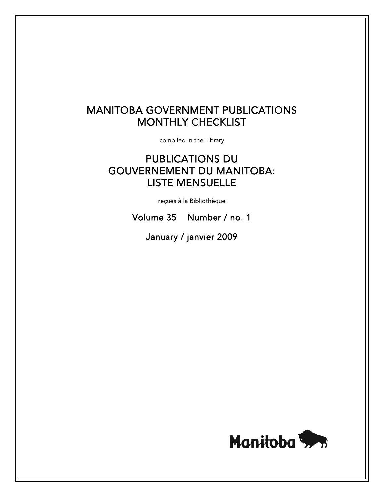# MANITOBA GOVERNMENT PUBLICATIONS MONTHLY CHECKLIST

compiled in the Library

# PUBLICATIONS DU GOUVERNEMENT DU MANITOBA: LISTE MENSUELLE

reçues à la Bibliothèque

Volume 35 Number / no. 1

January / janvier 2009

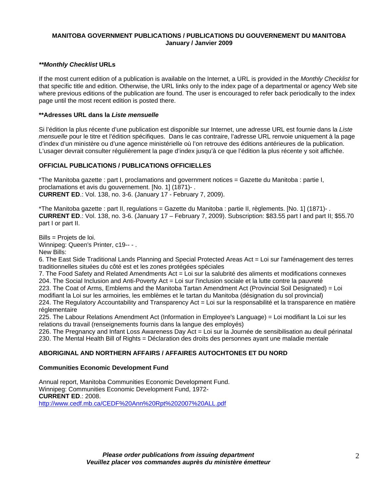# **MANITOBA GOVERNMENT PUBLICATIONS / PUBLICATIONS DU GOUVERNEMENT DU MANITOBA January / Janvier 2009**

## *\*\*Monthly Checklist* **URLs**

If the most current edition of a publication is available on the Internet, a URL is provided in the *Monthly Checklist* for that specific title and edition. Otherwise, the URL links only to the index page of a departmental or agency Web site where previous editions of the publication are found. The user is encouraged to refer back periodically to the index page until the most recent edition is posted there.

### **\*\*Adresses URL dans la** *Liste mensuelle*

Si l'édition la plus récente d'une publication est disponible sur Internet, une adresse URL est fournie dans la *Liste mensuelle* pour le titre et l'édition spécifiques. Dans le cas contraire, l'adresse URL renvoie uniquement à la page d'index d'un ministère ou d'une agence ministérielle où l'on retrouve des éditions antérieures de la publication. L'usager devrait consulter régulièrement la page d'index jusqu'à ce que l'édition la plus récente y soit affichée.

# **OFFICIAL PUBLICATIONS / PUBLICATIONS OFFICIELLES**

\*The Manitoba gazette : part I, proclamations and government notices = Gazette du Manitoba : partie I, proclamations et avis du gouvernement. [No. 1] (1871)- . **CURRENT ED**.: Vol. 138, no. 3-6. (January 17 - February 7, 2009).

\*The Manitoba gazette : part II, regulations = Gazette du Manitoba : partie II, règlements. [No. 1] (1871)- . **CURRENT ED**.: Vol. 138, no. 3-6. (January 17 – February 7, 2009). Subscription: \$83.55 part I and part II; \$55.70 part I or part II.

Bills = Projets de loi. Winnipeg: Queen's Printer, c19-- - . New Bills:

6. The East Side Traditional Lands Planning and Special Protected Areas Act = Loi sur l'aménagement des terres traditionnelles situées du côté est et les zones protégées spéciales

7. The Food Safety and Related Amendments Act = Loi sur la salubrité des aliments et modifications connexes 204. The Social Inclusion and Anti-Poverty Act = Loi sur l'inclusion sociale et la lutte contre la pauvreté

223. The Coat of Arms, Emblems and the Manitoba Tartan Amendment Act (Provincial Soil Designated) = Loi modifiant la Loi sur les armoiries, les emblèmes et le tartan du Manitoba (désignation du sol provincial)

224. The Regulatory Accountability and Transparency Act = Loi sur la responsabilité et la transparence en matière réglementaire

225. The Labour Relations Amendment Act (Information in Employee's Language) = Loi modifiant la Loi sur les relations du travail (renseignements fournis dans la langue des employés)

226. The Pregnancy and Infant Loss Awareness Day Act = Loi sur la Journée de sensibilisation au deuil périnatal 230. The Mental Health Bill of Rights = Déclaration des droits des personnes ayant une maladie mentale

# **ABORIGINAL AND NORTHERN AFFAIRS / AFFAIRES AUTOCHTONES ET DU NORD**

# **Communities Economic Development Fund**

Annual report, Manitoba Communities Economic Development Fund. Winnipeg: Communities Economic Development Fund, 1972- **CURRENT ED**.: 2008. http://www.cedf.mb.ca/CEDF%20Ann%20Rpt%202007%20ALL.pdf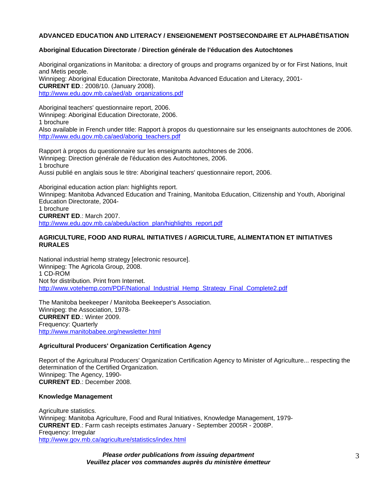# **ADVANCED EDUCATION AND LITERACY / ENSEIGNEMENT POSTSECONDAIRE ET ALPHABÉTISATION**

## **Aboriginal Education Directorate** / **Direction générale de l'éducation des Autochtones**

Aboriginal organizations in Manitoba: a directory of groups and programs organized by or for First Nations, Inuit and Metis people. Winnipeg: Aboriginal Education Directorate, Manitoba Advanced Education and Literacy, 2001- **CURRENT ED**.: 2008/10. (January 2008). http://www.edu.gov.mb.ca/aed/ab\_organizations.pdf

Aboriginal teachers' questionnaire report, 2006. Winnipeg: Aboriginal Education Directorate, 2006. 1 brochure

Also available in French under title: Rapport à propos du questionnaire sur les enseignants autochtones de 2006. http://www.edu.gov.mb.ca/aed/aborig\_teachers.pdf

Rapport à propos du questionnaire sur les enseignants autochtones de 2006. Winnipeg: Direction générale de l'éducation des Autochtones, 2006. 1 brochure Aussi publié en anglais sous le titre: Aboriginal teachers' questionnaire report, 2006.

Aboriginal education action plan: highlights report.

Winnipeg: Manitoba Advanced Education and Training, Manitoba Education, Citizenship and Youth, Aboriginal Education Directorate, 2004-

1 brochure **CURRENT ED**.: March 2007. http://www.edu.gov.mb.ca/abedu/action\_plan/highlights\_report.pdf

#### **AGRICULTURE, FOOD AND RURAL INITIATIVES / AGRICULTURE, ALIMENTATION ET INITIATIVES RURALES**

National industrial hemp strategy [electronic resource]. Winnipeg: The Agricola Group, 2008. 1 CD-ROM Not for distribution. Print from Internet. http://www.votehemp.com/PDF/National\_Industrial\_Hemp\_Strategy\_Final\_Complete2.pdf

The Manitoba beekeeper / Manitoba Beekeeper's Association. Winnipeg: the Association, 1978- **CURRENT ED**.: Winter 2009. Frequency: Quarterly http://www.manitobabee.org/newsletter.html

#### **Agricultural Producers' Organization Certification Agency**

Report of the Agricultural Producers' Organization Certification Agency to Minister of Agriculture... respecting the determination of the Certified Organization. Winnipeg: The Agency, 1990- **CURRENT ED**.: December 2008.

#### **Knowledge Management**

Agriculture statistics. Winnipeg: Manitoba Agriculture, Food and Rural Initiatives, Knowledge Management, 1979- **CURRENT ED**.: Farm cash receipts estimates January - September 2005R - 2008P. Frequency: Irregular http://www.gov.mb.ca/agriculture/statistics/index.html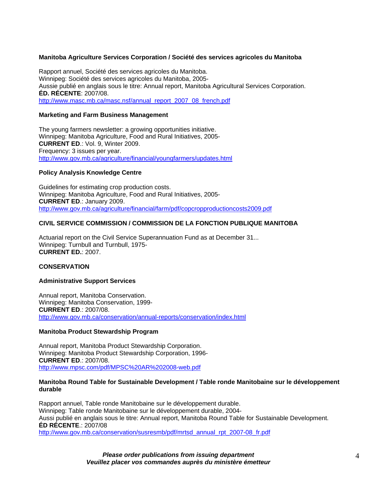## **Manitoba Agriculture Services Corporation / Société des services agricoles du Manitoba**

Rapport annuel, Société des services agricoles du Manitoba. Winnipeg: Société des services agricoles du Manitoba, 2005- Aussie publié en anglais sous le titre: Annual report, Manitoba Agricultural Services Corporation. **ÉD. RÉCENTE**: 2007/08. http://www.masc.mb.ca/masc.nsf/annual\_report\_2007\_08\_french.pdf

#### **Marketing and Farm Business Management**

The young farmers newsletter: a growing opportunities initiative. Winnipeg: Manitoba Agriculture, Food and Rural Initiatives, 2005- **CURRENT ED**.: Vol. 9, Winter 2009. Frequency: 3 issues per year. http://www.gov.mb.ca/agriculture/financial/youngfarmers/updates.html

#### **Policy Analysis Knowledge Centre**

Guidelines for estimating crop production costs. Winnipeg: Manitoba Agriculture, Food and Rural Initiatives, 2005- **CURRENT ED**.: January 2009. http://www.gov.mb.ca/agriculture/financial/farm/pdf/copcropproductioncosts2009.pdf

## **CIVIL SERVICE COMMISSION / COMMISSION DE LA FONCTION PUBLIQUE MANITOBA**

Actuarial report on the Civil Service Superannuation Fund as at December 31... Winnipeg: Turnbull and Turnbull, 1975- **CURRENT ED.**: 2007.

#### **CONSERVATION**

#### **Administrative Support Services**

Annual report, Manitoba Conservation. Winnipeg: Manitoba Conservation, 1999- **CURRENT ED**.: 2007/08. http://www.gov.mb.ca/conservation/annual-reports/conservation/index.html

#### **Manitoba Product Stewardship Program**

Annual report, Manitoba Product Stewardship Corporation. Winnipeg: Manitoba Product Stewardship Corporation, 1996- **CURRENT ED**.: 2007/08. http://www.mpsc.com/pdf/MPSC%20AR%202008-web.pdf

#### **Manitoba Round Table for Sustainable Development / Table ronde Manitobaine sur le développement durable**

Rapport annuel, Table ronde Manitobaine sur le développement durable. Winnipeg: Table ronde Manitobaine sur le développement durable, 2004- Aussi publié en anglais sous le titre: Annual report, Manitoba Round Table for Sustainable Development. **ÉD RÉCENTE**.: 2007/08

http://www.gov.mb.ca/conservation/susresmb/pdf/mrtsd\_annual\_rpt\_2007-08\_fr.pdf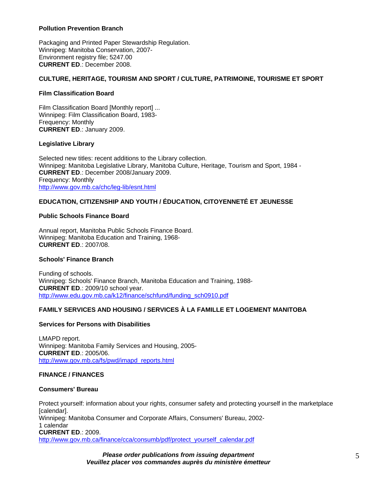# **Pollution Prevention Branch**

Packaging and Printed Paper Stewardship Regulation. Winnipeg: Manitoba Conservation, 2007- Environment registry file; 5247.00 **CURRENT ED**.: December 2008.

## **CULTURE, HERITAGE, TOURISM AND SPORT / CULTURE, PATRIMOINE, TOURISME ET SPORT**

## **Film Classification Board**

Film Classification Board [Monthly report] ... Winnipeg: Film Classification Board, 1983- Frequency: Monthly **CURRENT ED**.: January 2009.

## **Legislative Library**

Selected new titles: recent additions to the Library collection. Winnipeg: Manitoba Legislative Library, Manitoba Culture, Heritage, Tourism and Sport, 1984 - **CURRENT ED**.: December 2008/January 2009. Frequency: Monthly http://www.gov.mb.ca/chc/leg-lib/esnt.html

# **EDUCATION, CITIZENSHIP AND YOUTH / ÉDUCATION, CITOYENNETÉ ET JEUNESSE**

## **Public Schools Finance Board**

Annual report, Manitoba Public Schools Finance Board. Winnipeg: Manitoba Education and Training, 1968- **CURRENT ED**.: 2007/08.

## **Schools' Finance Branch**

Funding of schools. Winnipeg: Schools' Finance Branch, Manitoba Education and Training, 1988- **CURRENT ED**.: 2009/10 school year. http://www.edu.gov.mb.ca/k12/finance/schfund/funding\_sch0910.pdf

# **FAMILY SERVICES AND HOUSING / SERVICES À LA FAMILLE ET LOGEMENT MANITOBA**

#### **Services for Persons with Disabilities**

LMAPD report. Winnipeg: Manitoba Family Services and Housing, 2005- **CURRENT ED**.: 2005/06. http://www.gov.mb.ca/fs/pwd/imapd\_reports.html

#### **FINANCE / FINANCES**

#### **Consumers' Bureau**

Protect yourself: information about your rights, consumer safety and protecting yourself in the marketplace [calendar]. Winnipeg: Manitoba Consumer and Corporate Affairs, Consumers' Bureau, 2002- 1 calendar **CURRENT ED**.: 2009. http://www.gov.mb.ca/finance/cca/consumb/pdf/protect\_yourself\_calendar.pdf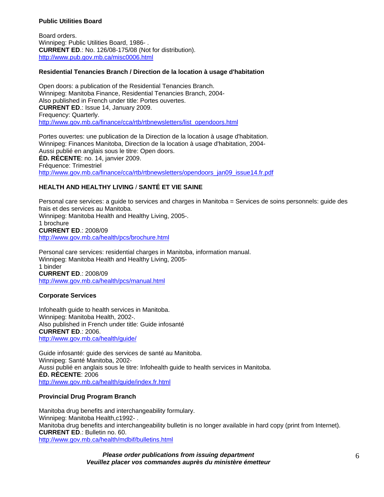### **Public Utilities Board**

Board orders. Winnipeg: Public Utilities Board, 1986- . **CURRENT ED**.: No. 126/08-175/08 (Not for distribution). http://www.pub.gov.mb.ca/misc0006.html

## **Residential Tenancies Branch / Direction de la location à usage d'habitation**

Open doors: a publication of the Residential Tenancies Branch. Winnipeg: Manitoba Finance, Residential Tenancies Branch, 2004- Also published in French under title: Portes ouvertes. **CURRENT ED**.: Issue 14, January 2009. Frequency: Quarterly. http://www.gov.mb.ca/finance/cca/rtb/rtbnewsletters/list\_opendoors.html

Portes ouvertes: une publication de la Direction de la location à usage d'habitation. Winnipeg: Finances Manitoba, Direction de la location à usage d'habitation, 2004- Aussi publié en anglais sous le titre: Open doors. **ÉD. RÉCENTE**: no. 14, janvier 2009. Fréquence: Trimestriel http://www.gov.mb.ca/finance/cca/rtb/rtbnewsletters/opendoors\_jan09\_issue14.fr.pdf

# **HEALTH AND HEALTHY LIVING** / **SANTÉ ET VIE SAINE**

Personal care services: a guide to services and charges in Manitoba = Services de soins personnels: guide des frais et des services au Manitoba. Winnipeg: Manitoba Health and Healthy Living, 2005-. 1 brochure **CURRENT ED**.: 2008/09 http://www.gov.mb.ca/health/pcs/brochure.html

Personal care services: residential charges in Manitoba, information manual. Winnipeg: Manitoba Health and Healthy Living, 2005- 1 binder **CURRENT ED**.: 2008/09 http://www.gov.mb.ca/health/pcs/manual.html

# **Corporate Services**

Infohealth guide to health services in Manitoba. Winnipeg: Manitoba Health, 2002-. Also published in French under title: Guide infosanté **CURRENT ED**.: 2006. http://www.gov.mb.ca/health/guide/

Guide infosanté: guide des services de santé au Manitoba. Winnipeg: Santé Manitoba, 2002- Aussi publié en anglais sous le titre: Infohealth guide to health services in Manitoba. **ÉD. RÉCENTE**: 2006 http://www.gov.mb.ca/health/guide/index.fr.html

# **Provincial Drug Program Branch**

Manitoba drug benefits and interchangeability formulary. Winnipeg: Manitoba Health, c1992-. Manitoba drug benefits and interchangeability bulletin is no longer available in hard copy (print from Internet). **CURRENT ED**.: Bulletin no. 60. http://www.gov.mb.ca/health/mdbif/bulletins.html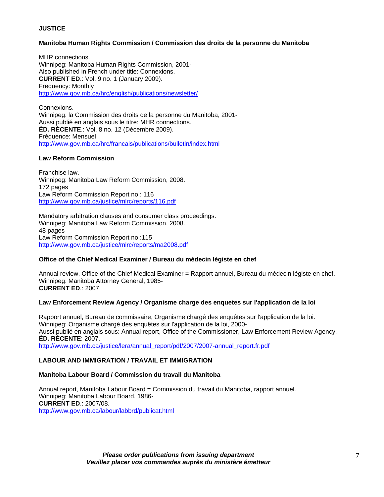# **JUSTICE**

# **Manitoba Human Rights Commission / Commission des droits de la personne du Manitoba**

MHR connections. Winnipeg: Manitoba Human Rights Commission, 2001- Also published in French under title: Connexions. **CURRENT ED**.: Vol. 9 no. 1 (January 2009). Frequency: Monthly http://www.gov.mb.ca/hrc/english/publications/newsletter/

Connexions. Winnipeg: la Commission des droits de la personne du Manitoba, 2001- Aussi publié en anglais sous le titre: MHR connections. **ÉD. RÉCENTE**.: Vol. 8 no. 12 (Décembre 2009). Fréquence: Mensuel http://www.gov.mb.ca/hrc/francais/publications/bulletin/index.html

## **Law Reform Commission**

Franchise law. Winnipeg: Manitoba Law Reform Commission, 2008. 172 pages Law Reform Commission Report no.: 116 http://www.gov.mb.ca/justice/mlrc/reports/116.pdf

Mandatory arbitration clauses and consumer class proceedings. Winnipeg: Manitoba Law Reform Commission, 2008. 48 pages Law Reform Commission Report no.:115 http://www.gov.mb.ca/justice/mlrc/reports/ma2008.pdf

#### **Office of the Chief Medical Examiner / Bureau du médecin légiste en chef**

Annual review, Office of the Chief Medical Examiner = Rapport annuel, Bureau du médecin légiste en chef. Winnipeg: Manitoba Attorney General, 1985- **CURRENT ED**.: 2007

#### **Law Enforcement Review Agency / Organisme charge des enquetes sur l'application de la loi**

Rapport annuel, Bureau de commissaire, Organisme chargé des enquêtes sur l'application de la loi. Winnipeg: Organisme chargé des enquêtes sur l'application de la loi, 2000- Aussi publié en anglais sous: Annual report, Office of the Commissioner, Law Enforcement Review Agency. **ÉD. RÉCENTE**: 2007.

http://www.gov.mb.ca/justice/lera/annual\_report/pdf/2007/2007-annual\_report.fr.pdf

# **LABOUR AND IMMIGRATION / TRAVAIL ET IMMIGRATION**

#### **Manitoba Labour Board / Commission du travail du Manitoba**

Annual report, Manitoba Labour Board = Commission du travail du Manitoba, rapport annuel. Winnipeg: Manitoba Labour Board, 1986- **CURRENT ED**.: 2007/08. http://www.gov.mb.ca/labour/labbrd/publicat.html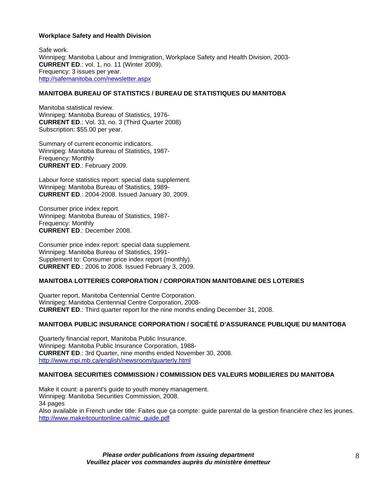## **Workplace Safety and Health Division**

Safe work. Winnipeg: Manitoba Labour and Immigration, Workplace Safety and Health Division, 2003- **CURRENT ED**.: vol. 1, no. 11 (Winter 2009). Frequency: 3 issues per year. http://safemanitoba.com/newsletter.aspx

# **MANITOBA BUREAU OF STATISTICS / BUREAU DE STATISTIQUES DU MANITOBA**

Manitoba statistical review. Winnipeg: Manitoba Bureau of Statistics, 1976- **CURRENT ED**.: Vol. 33, no. 3 (Third Quarter 2008) Subscription: \$55.00 per year.

Summary of current economic indicators. Winnipeg: Manitoba Bureau of Statistics, 1987- Frequency: Monthly **CURRENT ED**.: February 2009.

Labour force statistics report: special data supplement. Winnipeg: Manitoba Bureau of Statistics, 1989- **CURRENT ED**.: 2004-2008. Issued January 30, 2009.

Consumer price index report. Winnipeg: Manitoba Bureau of Statistics, 1987- Frequency: Monthly **CURRENT ED**.: December 2008.

Consumer price index report: special data supplement. Winnipeg: Manitoba Bureau of Statistics, 1991- Supplement to: Consumer price index report (monthly). **CURRENT ED**.: 2006 to 2008. Issued February 3, 2009.

# **MANITOBA LOTTERIES CORPORATION / CORPORATION MANITOBAINE DES LOTERIES**

Quarter report, Manitoba Centennial Centre Corporation. Winnipeg: Manitoba Centennial Centre Corporation, 2008- **CURRENT ED**.: Third quarter report for the nine months ending December 31, 2008.

# **MANITOBA PUBLIC INSURANCE CORPORATION / SOCIÉTÉ D'ASSURANCE PUBLIQUE DU MANITOBA**

Quarterly financial report, Manitoba Public Insurance. Winnipeg: Manitoba Public Insurance Corporation, 1988- **CURRENT ED**.: 3rd Quarter, nine months ended November 30, 2008. http://www.mpi.mb.ca/english/newsroom/quarterly.html

#### **MANITOBA SECURITIES COMMISSION / COMMISSION DES VALEURS MOBILIERES DU MANITOBA**

Make it count: a parent's guide to youth money management. Winnipeg: Manitoba Securities Commission, 2008. 34 pages Also available in French under title: Faites que ça compte: guide parental de la gestion financière chez les jeunes. http://www.makeitcountonline.ca/mic\_guide.pdf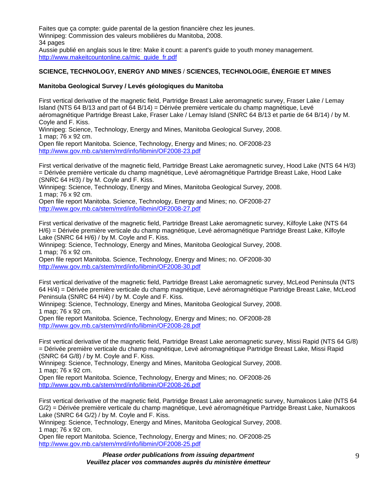Faites que ça compte: guide parental de la gestion financière chez les jeunes. Winnipeg: Commission des valeurs mobilières du Manitoba, 2008. 34 pages Aussie publié en anglais sous le titre: Make it count: a parent's guide to youth money management. http://www.makeitcountonline.ca/mic\_guide\_fr.pdf

# **SCIENCE, TECHNOLOGY, ENERGY AND MINES** / **SCIENCES, TECHNOLOGIE, ÉNERGIE ET MINES**

# **Manitoba Geological Survey / Levés géologiques du Manitoba**

First vertical derivative of the magnetic field, Partridge Breast Lake aeromagnetic survey, Fraser Lake / Lemay Island (NTS 64 B/13 and part of 64 B/14) = Dérivée première verticale du champ magnétique, Levé aéromagnétique Partridge Breast Lake, Fraser Lake / Lemay Island (SNRC 64 B/13 et partie de 64 B/14) / by M. Coyle and F. Kiss.

Winnipeg: Science, Technology, Energy and Mines, Manitoba Geological Survey, 2008. 1 map; 76 x 92 cm.

Open file report Manitoba. Science, Technology, Energy and Mines; no. OF2008-23 http://www.gov.mb.ca/stem/mrd/info/libmin/OF2008-23.pdf

First vertical derivative of the magnetic field, Partridge Breast Lake aeromagnetic survey, Hood Lake (NTS 64 H/3) = Dérivée première verticale du champ magnétique, Levé aéromagnétique Partridge Breast Lake, Hood Lake (SNRC 64 H/3) / by M. Coyle and F. Kiss.

Winnipeg: Science, Technology, Energy and Mines, Manitoba Geological Survey, 2008. 1 map; 76 x 92 cm.

Open file report Manitoba. Science, Technology, Energy and Mines; no. OF2008-27 http://www.gov.mb.ca/stem/mrd/info/libmin/OF2008-27.pdf

First vertical derivative of the magnetic field, Partridge Breast Lake aeromagnetic survey, Kilfoyle Lake (NTS 64 H/6) = Dérivée première verticale du champ magnétique, Levé aéromagnétique Partridge Breast Lake, Kilfoyle Lake (SNRC 64 H/6) / by M. Coyle and F. Kiss.

Winnipeg: Science, Technology, Energy and Mines, Manitoba Geological Survey, 2008. 1 map; 76 x 92 cm.

Open file report Manitoba. Science, Technology, Energy and Mines; no. OF2008-30 http://www.gov.mb.ca/stem/mrd/info/libmin/OF2008-30.pdf

First vertical derivative of the magnetic field, Partridge Breast Lake aeromagnetic survey, McLeod Peninsula (NTS 64 H/4) = Dérivée première verticale du champ magnétique, Levé aéromagnétique Partridge Breast Lake, McLeod Peninsula (SNRC 64 H/4) / by M. Coyle and F. Kiss.

Winnipeg: Science, Technology, Energy and Mines, Manitoba Geological Survey, 2008. 1 map; 76 x 92 cm.

Open file report Manitoba. Science, Technology, Energy and Mines; no. OF2008-28 http://www.gov.mb.ca/stem/mrd/info/libmin/OF2008-28.pdf

First vertical derivative of the magnetic field, Partridge Breast Lake aeromagnetic survey, Missi Rapid (NTS 64 G/8) = Dérivée première verticale du champ magnétique, Levé aéromagnétique Partridge Breast Lake, Missi Rapid (SNRC 64 G/8) / by M. Coyle and F. Kiss.

Winnipeg: Science, Technology, Energy and Mines, Manitoba Geological Survey, 2008. 1 map; 76 x 92 cm.

Open file report Manitoba. Science, Technology, Energy and Mines; no. OF2008-26 http://www.gov.mb.ca/stem/mrd/info/libmin/OF2008-26.pdf

First vertical derivative of the magnetic field, Partridge Breast Lake aeromagnetic survey, Numakoos Lake (NTS 64 G/2) = Dérivée première verticale du champ magnétique, Levé aéromagnétique Partridge Breast Lake, Numakoos Lake (SNRC 64 G/2) / by M. Coyle and F. Kiss.

Winnipeg: Science, Technology, Energy and Mines, Manitoba Geological Survey, 2008. 1 map; 76 x 92 cm.

Open file report Manitoba. Science, Technology, Energy and Mines; no. OF2008-25 http://www.gov.mb.ca/stem/mrd/info/libmin/OF2008-25.pdf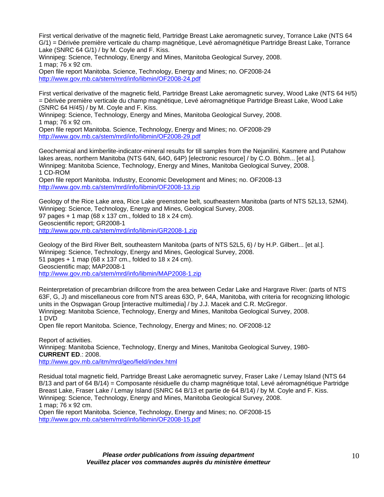First vertical derivative of the magnetic field, Partridge Breast Lake aeromagnetic survey, Torrance Lake (NTS 64 G/1) = Dérivée première verticale du champ magnétique, Levé aéromagnétique Partridge Breast Lake, Torrance Lake (SNRC 64 G/1) / by M. Coyle and F. Kiss.

Winnipeg: Science, Technology, Energy and Mines, Manitoba Geological Survey, 2008. 1 map; 76 x 92 cm.

Open file report Manitoba. Science, Technology, Energy and Mines; no. OF2008-24 http://www.gov.mb.ca/stem/mrd/info/libmin/OF2008-24.pdf

First vertical derivative of the magnetic field, Partridge Breast Lake aeromagnetic survey, Wood Lake (NTS 64 H/5) = Dérivée première verticale du champ magnétique, Levé aéromagnétique Partridge Breast Lake, Wood Lake (SNRC 64 H/45) / by M. Coyle and F. Kiss.

Winnipeg: Science, Technology, Energy and Mines, Manitoba Geological Survey, 2008. 1 map; 76 x 92 cm.

Open file report Manitoba. Science, Technology, Energy and Mines; no. OF2008-29 http://www.gov.mb.ca/stem/mrd/info/libmin/OF2008-29.pdf

Geochemical and kimberlite-indicator-mineral results for till samples from the Nejanilini, Kasmere and Putahow lakes areas, northern Manitoba (NTS 64N, 64O, 64P) [electronic resource] / by C.O. Böhm... [et al.]. Winnipeg: Manitoba Science, Technology, Energy and Mines, Manitoba Geological Survey, 2008. 1 CD-ROM

Open file report Manitoba. Industry, Economic Development and Mines; no. OF2008-13 http://www.gov.mb.ca/stem/mrd/info/libmin/OF2008-13.zip

Geology of the Rice Lake area, Rice Lake greenstone belt, southeastern Manitoba (parts of NTS 52L13, 52M4). Winnipeg: Science, Technology, Energy and Mines, Geological Survey, 2008. 97 pages + 1 map (68 x 137 cm., folded to 18 x 24 cm). Geoscientific report; GR2008-1 http://www.gov.mb.ca/stem/mrd/info/libmin/GR2008-1.zip

Geology of the Bird River Belt, southeastern Manitoba (parts of NTS 52L5, 6) / by H.P. Gilbert... [et al.]. Winnipeg: Science, Technology, Energy and Mines, Geological Survey, 2008. 51 pages + 1 map (68 x 137 cm., folded to 18 x 24 cm). Geoscientific map; MAP2008-1 http://www.gov.mb.ca/stem/mrd/info/libmin/MAP2008-1.zip

Reinterpretation of precambrian drillcore from the area between Cedar Lake and Hargrave River: (parts of NTS 63F, G, J) and miscellaneous core from NTS areas 63O, P, 64A, Manitoba, with criteria for recognizing lithologic units in the Ospwagan Group [interactive multimedia] / by J.J. Macek and C.R. McGregor. Winnipeg: Manitoba Science, Technology, Energy and Mines, Manitoba Geological Survey, 2008. 1 DVD

Open file report Manitoba. Science, Technology, Energy and Mines; no. OF2008-12

Report of activities. Winnipeg: Manitoba Science, Technology, Energy and Mines, Manitoba Geological Survey, 1980- **CURRENT ED**.: 2008. http://www.gov.mb.ca/itm/mrd/geo/field/index.html

Residual total magnetic field, Partridge Breast Lake aeromagnetic survey, Fraser Lake / Lemay Island (NTS 64 B/13 and part of 64 B/14) = Composante résiduelle du champ magnétique total, Levé aéromagnétique Partridge Breast Lake, Fraser Lake / Lemay Island (SNRC 64 B/13 et partie de 64 B/14) / by M. Coyle and F. Kiss. Winnipeg: Science, Technology, Energy and Mines, Manitoba Geological Survey, 2008. 1 map; 76 x 92 cm.

Open file report Manitoba. Science, Technology, Energy and Mines; no. OF2008-15 http://www.gov.mb.ca/stem/mrd/info/libmin/OF2008-15.pdf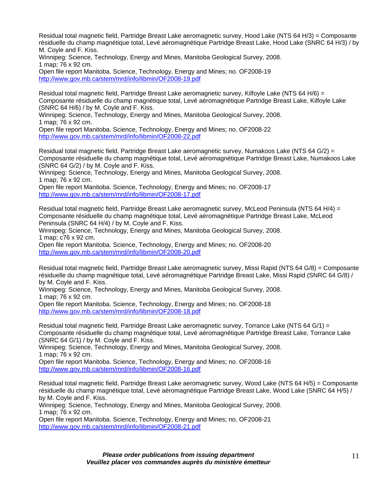Residual total magnetic field, Partridge Breast Lake aeromagnetic survey, Hood Lake (NTS 64 H/3) = Composante résiduelle du champ magnétique total, Levé aéromagnétique Partridge Breast Lake, Hood Lake (SNRC 64 H/3) / by M. Coyle and F. Kiss.

Winnipeg: Science, Technology, Energy and Mines, Manitoba Geological Survey, 2008. 1 map; 76 x 92 cm.

Open file report Manitoba. Science, Technology, Energy and Mines; no. OF2008-19 http://www.gov.mb.ca/stem/mrd/info/libmin/OF2008-19.pdf

Residual total magnetic field, Partridge Breast Lake aeromagnetic survey, Kilfoyle Lake (NTS 64 H/6) = Composante résiduelle du champ magnétique total, Levé aéromagnétique Partridge Breast Lake, Kilfoyle Lake (SNRC 64 H/6) / by M. Coyle and F. Kiss.

Winnipeg: Science, Technology, Energy and Mines, Manitoba Geological Survey, 2008. 1 map; 76 x 92 cm.

Open file report Manitoba. Science, Technology, Energy and Mines; no. OF2008-22 http://www.gov.mb.ca/stem/mrd/info/libmin/OF2008-22.pdf

Residual total magnetic field, Partridge Breast Lake aeromagnetic survey, Numakoos Lake (NTS 64 G/2) = Composante résiduelle du champ magnétique total, Levé aéromagnétique Partridge Breast Lake, Numakoos Lake (SNRC 64 G/2) / by M. Coyle and F. Kiss.

Winnipeg: Science, Technology, Energy and Mines, Manitoba Geological Survey, 2008. 1 map; 76 x 92 cm.

Open file report Manitoba. Science, Technology, Energy and Mines; no. OF2008-17 http://www.gov.mb.ca/stem/mrd/info/libmin/OF2008-17.pdf

Residual total magnetic field, Partridge Breast Lake aeromagnetic survey, McLeod Peninsula (NTS 64 H/4) = Composante résiduelle du champ magnétique total, Levé aéromagnétique Partridge Breast Lake, McLeod Peninsula (SNRC 64 H/4) / by M. Coyle and F. Kiss.

Winnipeg: Science, Technology, Energy and Mines, Manitoba Geological Survey, 2008. 1 map; c76 x 92 cm.

Open file report Manitoba. Science, Technology, Energy and Mines; no. OF2008-20 http://www.gov.mb.ca/stem/mrd/info/libmin/OF2008-20.pdf

Residual total magnetic field, Partridge Breast Lake aeromagnetic survey, Missi Rapid (NTS 64 G/8) = Composante résiduelle du champ magnétique total, Levé aéromagnétique Partridge Breast Lake, Missi Rapid (SNRC 64 G/8) / by M. Coyle and F. Kiss.

Winnipeg: Science, Technology, Energy and Mines, Manitoba Geological Survey, 2008. 1 map; 76 x 92 cm.

Open file report Manitoba. Science, Technology, Energy and Mines; no. OF2008-18 http://www.gov.mb.ca/stem/mrd/info/libmin/OF2008-18.pdf

Residual total magnetic field, Partridge Breast Lake aeromagnetic survey, Torrance Lake (NTS 64 G/1) = Composante résiduelle du champ magnétique total, Levé aéromagnétique Partridge Breast Lake, Torrance Lake (SNRC 64 G/1) / by M. Coyle and F. Kiss.

Winnipeg: Science, Technology, Energy and Mines, Manitoba Geological Survey, 2008. 1 map; 76 x 92 cm.

Open file report Manitoba. Science, Technology, Energy and Mines; no. OF2008-16 http://www.gov.mb.ca/stem/mrd/info/libmin/OF2008-16.pdf

Residual total magnetic field, Partridge Breast Lake aeromagnetic survey, Wood Lake (NTS 64 H/5) = Composante résiduelle du champ magnétique total, Levé aéromagnétique Partridge Breast Lake, Wood Lake (SNRC 64 H/5) / by M. Coyle and F. Kiss.

Winnipeg: Science, Technology, Energy and Mines, Manitoba Geological Survey, 2008. 1 map; 76 x 92 cm.

Open file report Manitoba. Science, Technology, Energy and Mines; no. OF2008-21 http://www.gov.mb.ca/stem/mrd/info/libmin/OF2008-21.pdf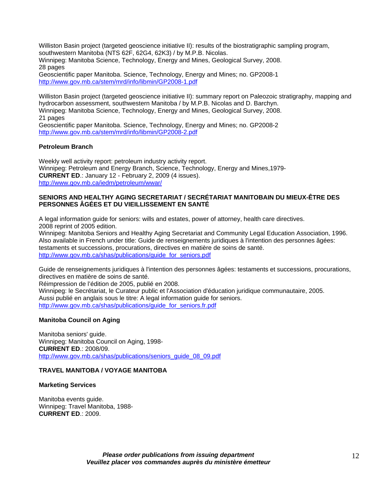Williston Basin project (targeted geoscience initiative II): results of the biostratigraphic sampling program, southwestern Manitoba (NTS 62F, 62G4, 62K3) / by M.P.B. Nicolas. Winnipeg: Manitoba Science, Technology, Energy and Mines, Geological Survey, 2008. 28 pages

Geoscientific paper Manitoba. Science, Technology, Energy and Mines; no. GP2008-1 http://www.gov.mb.ca/stem/mrd/info/libmin/GP2008-1.pdf

Williston Basin project (targeted geoscience initiative II): summary report on Paleozoic stratigraphy, mapping and hydrocarbon assessment, southwestern Manitoba / by M.P.B. Nicolas and D. Barchyn. Winnipeg: Manitoba Science, Technology, Energy and Mines, Geological Survey, 2008. 21 pages Geoscientific paper Manitoba. Science, Technology, Energy and Mines; no. GP2008-2

http://www.gov.mb.ca/stem/mrd/info/libmin/GP2008-2.pdf

## **Petroleum Branch**

Weekly well activity report: petroleum industry activity report. Winnipeg: Petroleum and Energy Branch, Science, Technology, Energy and Mines,1979- **CURRENT ED**.: January 12 - February 2, 2009 (4 issues). http://www.gov.mb.ca/iedm/petroleum/wwar/

# **SENIORS AND HEALTHY AGING SECRETARIAT / SECRÉTARIAT MANITOBAIN DU MIEUX-ÊTRE DES PERSONNES ÂGÉES ET DU VIEILLISSEMENT EN SANTÉ**

A legal information guide for seniors: wills and estates, power of attorney, health care directives. 2008 reprint of 2005 edition.

Winnipeg: Manitoba Seniors and Healthy Aging Secretariat and Community Legal Education Association, 1996. Also available in French under title: Guide de renseignements juridiques à l'intention des personnes âgées: testaments et successions, procurations, directives en matière de soins de santé. http://www.gov.mb.ca/shas/publications/guide\_for\_seniors.pdf

Guide de renseignements juridiques à l'intention des personnes âgées: testaments et successions, procurations, directives en matière de soins de santé.

Réimpression de l'édition de 2005, publié en 2008.

Winnipeg: le Secrétariat, le Curateur public et l'Association d'éducation juridique communautaire, 2005. Aussi publié en anglais sous le titre: A legal information guide for seniors. http://www.gov.mb.ca/shas/publications/guide\_for\_seniors.fr.pdf

#### **Manitoba Council on Aging**

Manitoba seniors' guide. Winnipeg: Manitoba Council on Aging, 1998- **CURRENT ED**.: 2008/09. http://www.gov.mb.ca/shas/publications/seniors\_guide\_08\_09.pdf

# **TRAVEL MANITOBA / VOYAGE MANITOBA**

#### **Marketing Services**

Manitoba events guide. Winnipeg: Travel Manitoba, 1988- **CURRENT ED**.: 2009.